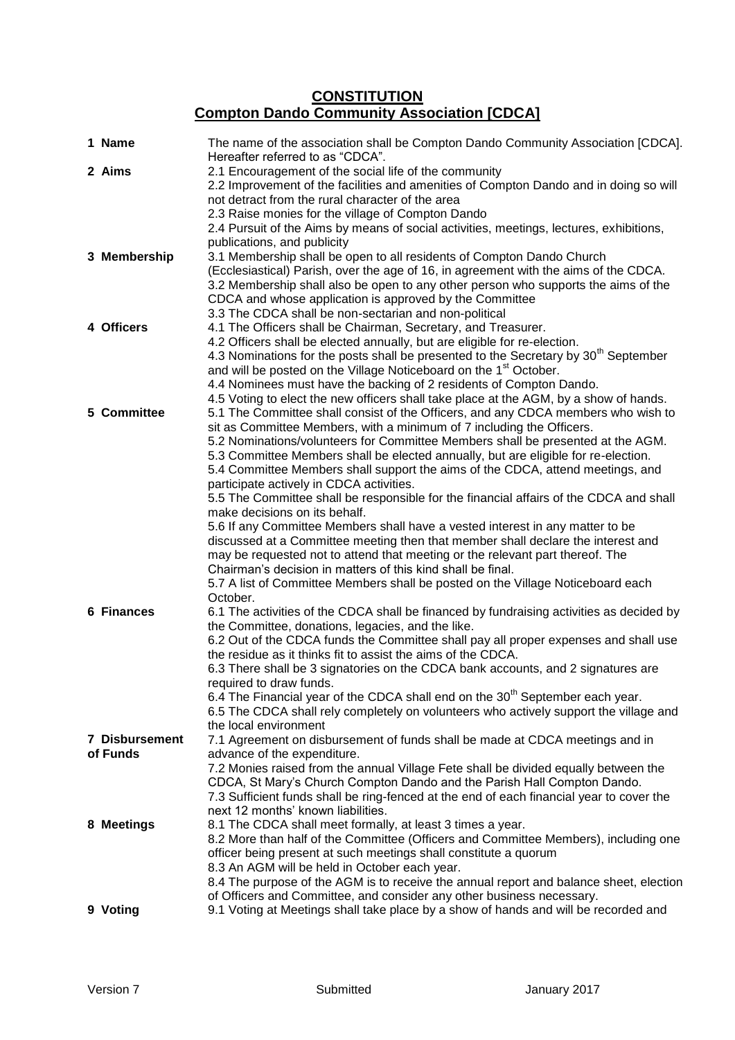## **CONSTITUTION Compton Dando Community Association [CDCA]**

| 1 Name                | The name of the association shall be Compton Dando Community Association [CDCA].<br>Hereafter referred to as "CDCA".                                                                                                                                                                                                                                                                                                                                                                                                                                                                                                                                                                                                                                                                                                                                                                                                        |
|-----------------------|-----------------------------------------------------------------------------------------------------------------------------------------------------------------------------------------------------------------------------------------------------------------------------------------------------------------------------------------------------------------------------------------------------------------------------------------------------------------------------------------------------------------------------------------------------------------------------------------------------------------------------------------------------------------------------------------------------------------------------------------------------------------------------------------------------------------------------------------------------------------------------------------------------------------------------|
| 2 Aims                | 2.1 Encouragement of the social life of the community<br>2.2 Improvement of the facilities and amenities of Compton Dando and in doing so will<br>not detract from the rural character of the area<br>2.3 Raise monies for the village of Compton Dando                                                                                                                                                                                                                                                                                                                                                                                                                                                                                                                                                                                                                                                                     |
|                       | 2.4 Pursuit of the Aims by means of social activities, meetings, lectures, exhibitions,                                                                                                                                                                                                                                                                                                                                                                                                                                                                                                                                                                                                                                                                                                                                                                                                                                     |
| 3 Membership          | publications, and publicity<br>3.1 Membership shall be open to all residents of Compton Dando Church<br>(Ecclesiastical) Parish, over the age of 16, in agreement with the aims of the CDCA.<br>3.2 Membership shall also be open to any other person who supports the aims of the<br>CDCA and whose application is approved by the Committee<br>3.3 The CDCA shall be non-sectarian and non-political                                                                                                                                                                                                                                                                                                                                                                                                                                                                                                                      |
| 4 Officers            | 4.1 The Officers shall be Chairman, Secretary, and Treasurer.                                                                                                                                                                                                                                                                                                                                                                                                                                                                                                                                                                                                                                                                                                                                                                                                                                                               |
|                       | 4.2 Officers shall be elected annually, but are eligible for re-election.                                                                                                                                                                                                                                                                                                                                                                                                                                                                                                                                                                                                                                                                                                                                                                                                                                                   |
| 5 Committee           | 4.3 Nominations for the posts shall be presented to the Secretary by 30 <sup>th</sup> September<br>and will be posted on the Village Noticeboard on the 1 <sup>st</sup> October.<br>4.4 Nominees must have the backing of 2 residents of Compton Dando.<br>4.5 Voting to elect the new officers shall take place at the AGM, by a show of hands.<br>5.1 The Committee shall consist of the Officers, and any CDCA members who wish to                                                                                                                                                                                                                                                                                                                                                                                                                                                                                       |
|                       | sit as Committee Members, with a minimum of 7 including the Officers.<br>5.2 Nominations/volunteers for Committee Members shall be presented at the AGM.<br>5.3 Committee Members shall be elected annually, but are eligible for re-election.<br>5.4 Committee Members shall support the aims of the CDCA, attend meetings, and<br>participate actively in CDCA activities.<br>5.5 The Committee shall be responsible for the financial affairs of the CDCA and shall<br>make decisions on its behalf.<br>5.6 If any Committee Members shall have a vested interest in any matter to be<br>discussed at a Committee meeting then that member shall declare the interest and<br>may be requested not to attend that meeting or the relevant part thereof. The<br>Chairman's decision in matters of this kind shall be final.<br>5.7 A list of Committee Members shall be posted on the Village Noticeboard each<br>October. |
| 6 Finances            | 6.1 The activities of the CDCA shall be financed by fundraising activities as decided by<br>the Committee, donations, legacies, and the like.<br>6.2 Out of the CDCA funds the Committee shall pay all proper expenses and shall use<br>the residue as it thinks fit to assist the aims of the CDCA.<br>6.3 There shall be 3 signatories on the CDCA bank accounts, and 2 signatures are<br>required to draw funds.<br>6.4 The Financial year of the CDCA shall end on the 30 <sup>th</sup> September each year.<br>6.5 The CDCA shall rely completely on volunteers who actively support the village and<br>the local environment                                                                                                                                                                                                                                                                                          |
| <b>7 Disbursement</b> | 7.1 Agreement on disbursement of funds shall be made at CDCA meetings and in                                                                                                                                                                                                                                                                                                                                                                                                                                                                                                                                                                                                                                                                                                                                                                                                                                                |
| of Funds              | advance of the expenditure.<br>7.2 Monies raised from the annual Village Fete shall be divided equally between the<br>CDCA, St Mary's Church Compton Dando and the Parish Hall Compton Dando.<br>7.3 Sufficient funds shall be ring-fenced at the end of each financial year to cover the<br>next 12 months' known liabilities.                                                                                                                                                                                                                                                                                                                                                                                                                                                                                                                                                                                             |
| 8 Meetings            | 8.1 The CDCA shall meet formally, at least 3 times a year.<br>8.2 More than half of the Committee (Officers and Committee Members), including one<br>officer being present at such meetings shall constitute a quorum<br>8.3 An AGM will be held in October each year.<br>8.4 The purpose of the AGM is to receive the annual report and balance sheet, election<br>of Officers and Committee, and consider any other business necessary.                                                                                                                                                                                                                                                                                                                                                                                                                                                                                   |
| 9 Voting              | 9.1 Voting at Meetings shall take place by a show of hands and will be recorded and                                                                                                                                                                                                                                                                                                                                                                                                                                                                                                                                                                                                                                                                                                                                                                                                                                         |